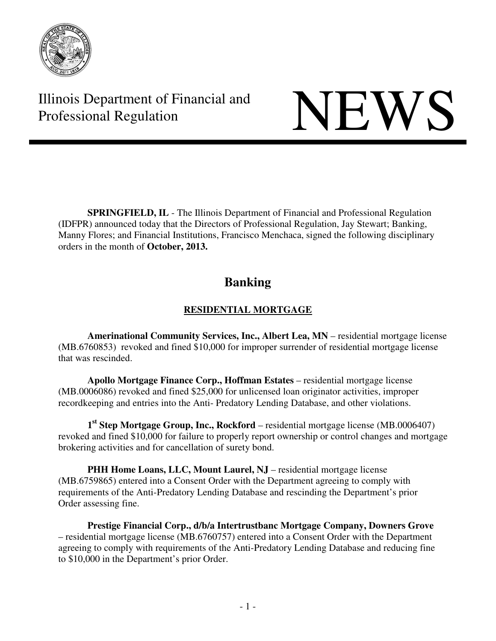

Illinois Department of Financial and Illinois Department of Financial and<br>Professional Regulation

**SPRINGFIELD, IL** - The Illinois Department of Financial and Professional Regulation (IDFPR) announced today that the Directors of Professional Regulation, Jay Stewart; Banking, Manny Flores; and Financial Institutions, Francisco Menchaca, signed the following disciplinary orders in the month of **October, 2013.** 

# **Banking**

# **RESIDENTIAL MORTGAGE**

 **Amerinational Community Services, Inc., Albert Lea, MN** – residential mortgage license (MB.6760853) revoked and fined \$10,000 for improper surrender of residential mortgage license that was rescinded.

**Apollo Mortgage Finance Corp., Hoffman Estates** – residential mortgage license (MB.0006086) revoked and fined \$25,000 for unlicensed loan originator activities, improper recordkeeping and entries into the Anti- Predatory Lending Database, and other violations.

 **1st Step Mortgage Group, Inc., Rockford** – residential mortgage license (MB.0006407) revoked and fined \$10,000 for failure to properly report ownership or control changes and mortgage brokering activities and for cancellation of surety bond.

**PHH Home Loans, LLC, Mount Laurel, NJ** – residential mortgage license (MB.6759865) entered into a Consent Order with the Department agreeing to comply with requirements of the Anti-Predatory Lending Database and rescinding the Department's prior Order assessing fine.

 **Prestige Financial Corp., d/b/a Intertrustbanc Mortgage Company, Downers Grove**  – residential mortgage license (MB.6760757) entered into a Consent Order with the Department agreeing to comply with requirements of the Anti-Predatory Lending Database and reducing fine to \$10,000 in the Department's prior Order.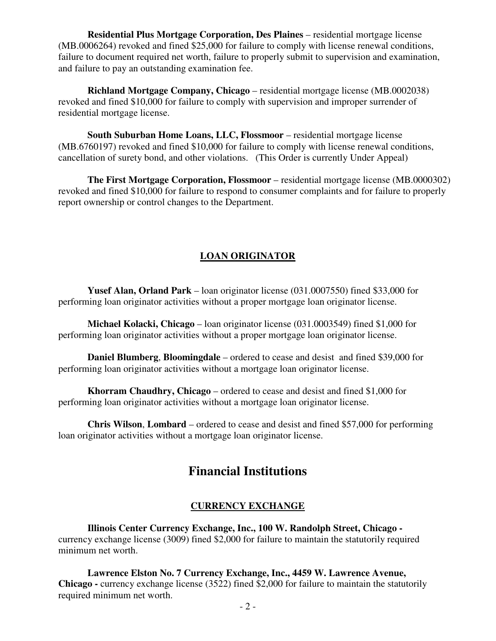**Residential Plus Mortgage Corporation, Des Plaines** – residential mortgage license (MB.0006264) revoked and fined \$25,000 for failure to comply with license renewal conditions, failure to document required net worth, failure to properly submit to supervision and examination, and failure to pay an outstanding examination fee.

 **Richland Mortgage Company, Chicago** – residential mortgage license (MB.0002038) revoked and fined \$10,000 for failure to comply with supervision and improper surrender of residential mortgage license.

**South Suburban Home Loans, LLC, Flossmoor** – residential mortgage license (MB.6760197) revoked and fined \$10,000 for failure to comply with license renewal conditions, cancellation of surety bond, and other violations. (This Order is currently Under Appeal)

 **The First Mortgage Corporation, Flossmoor** – residential mortgage license (MB.0000302) revoked and fined \$10,000 for failure to respond to consumer complaints and for failure to properly report ownership or control changes to the Department.

## **LOAN ORIGINATOR**

 **Yusef Alan, Orland Park** – loan originator license (031.0007550) fined \$33,000 for performing loan originator activities without a proper mortgage loan originator license.

 **Michael Kolacki, Chicago** – loan originator license (031.0003549) fined \$1,000 for performing loan originator activities without a proper mortgage loan originator license.

 **Daniel Blumberg**, **Bloomingdale** – ordered to cease and desist and fined \$39,000 for performing loan originator activities without a mortgage loan originator license.

**Khorram Chaudhry, Chicago** – ordered to cease and desist and fined \$1,000 for performing loan originator activities without a mortgage loan originator license.

 **Chris Wilson**, **Lombard** – ordered to cease and desist and fined \$57,000 for performing loan originator activities without a mortgage loan originator license.

# **Financial Institutions**

## **CURRENCY EXCHANGE**

 **Illinois Center Currency Exchange, Inc., 100 W. Randolph Street, Chicago**  currency exchange license (3009) fined \$2,000 for failure to maintain the statutorily required minimum net worth.

 **Lawrence Elston No. 7 Currency Exchange, Inc., 4459 W. Lawrence Avenue, Chicago -** currency exchange license (3522) fined \$2,000 for failure to maintain the statutorily required minimum net worth.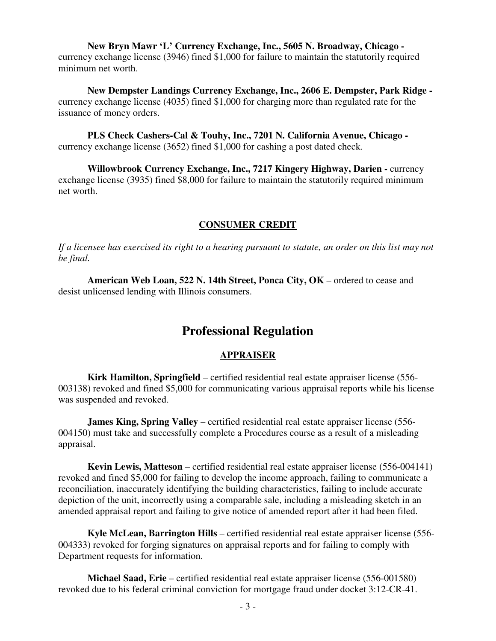**New Bryn Mawr 'L' Currency Exchange, Inc., 5605 N. Broadway, Chicago**  currency exchange license (3946) fined \$1,000 for failure to maintain the statutorily required minimum net worth.

 **New Dempster Landings Currency Exchange, Inc., 2606 E. Dempster, Park Ridge**  currency exchange license (4035) fined \$1,000 for charging more than regulated rate for the issuance of money orders.

 **PLS Check Cashers-Cal & Touhy, Inc., 7201 N. California Avenue, Chicago**  currency exchange license (3652) fined \$1,000 for cashing a post dated check.

 **Willowbrook Currency Exchange, Inc., 7217 Kingery Highway, Darien -** currency exchange license (3935) fined \$8,000 for failure to maintain the statutorily required minimum net worth.

#### **CONSUMER CREDIT**

*If a licensee has exercised its right to a hearing pursuant to statute, an order on this list may not be final.*

 **American Web Loan, 522 N. 14th Street, Ponca City, OK** – ordered to cease and desist unlicensed lending with Illinois consumers.

# **Professional Regulation**

#### **APPRAISER**

**Kirk Hamilton, Springfield** – certified residential real estate appraiser license (556- 003138) revoked and fined \$5,000 for communicating various appraisal reports while his license was suspended and revoked.

**James King, Spring Valley** – certified residential real estate appraiser license (556- 004150) must take and successfully complete a Procedures course as a result of a misleading appraisal.

**Kevin Lewis, Matteson** – certified residential real estate appraiser license (556-004141) revoked and fined \$5,000 for failing to develop the income approach, failing to communicate a reconciliation, inaccurately identifying the building characteristics, failing to include accurate depiction of the unit, incorrectly using a comparable sale, including a misleading sketch in an amended appraisal report and failing to give notice of amended report after it had been filed.

**Kyle McLean, Barrington Hills** – certified residential real estate appraiser license (556- 004333) revoked for forging signatures on appraisal reports and for failing to comply with Department requests for information.

**Michael Saad, Erie** – certified residential real estate appraiser license (556-001580) revoked due to his federal criminal conviction for mortgage fraud under docket 3:12-CR-41.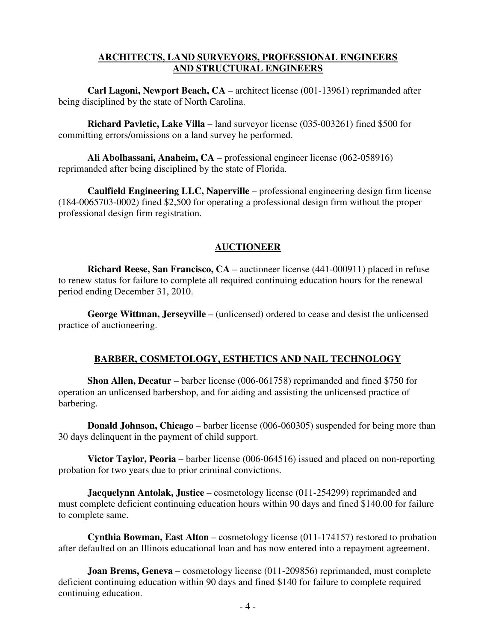#### **ARCHITECTS, LAND SURVEYORS, PROFESSIONAL ENGINEERS AND STRUCTURAL ENGINEERS**

**Carl Lagoni, Newport Beach, CA** – architect license (001-13961) reprimanded after being disciplined by the state of North Carolina.

**Richard Pavletic, Lake Villa** – land surveyor license (035-003261) fined \$500 for committing errors/omissions on a land survey he performed.

**Ali Abolhassani, Anaheim, CA** – professional engineer license (062-058916) reprimanded after being disciplined by the state of Florida.

**Caulfield Engineering LLC, Naperville** – professional engineering design firm license (184-0065703-0002) fined \$2,500 for operating a professional design firm without the proper professional design firm registration.

## **AUCTIONEER**

**Richard Reese, San Francisco, CA** – auctioneer license (441-000911) placed in refuse to renew status for failure to complete all required continuing education hours for the renewal period ending December 31, 2010.

**George Wittman, Jerseyville** – (unlicensed) ordered to cease and desist the unlicensed practice of auctioneering.

## **BARBER, COSMETOLOGY, ESTHETICS AND NAIL TECHNOLOGY**

**Shon Allen, Decatur** – barber license (006-061758) reprimanded and fined \$750 for operation an unlicensed barbershop, and for aiding and assisting the unlicensed practice of barbering.

**Donald Johnson, Chicago** – barber license (006-060305) suspended for being more than 30 days delinquent in the payment of child support.

**Victor Taylor, Peoria** – barber license (006-064516) issued and placed on non-reporting probation for two years due to prior criminal convictions.

**Jacquelynn Antolak, Justice** – cosmetology license (011-254299) reprimanded and must complete deficient continuing education hours within 90 days and fined \$140.00 for failure to complete same.

**Cynthia Bowman, East Alton** – cosmetology license (011-174157) restored to probation after defaulted on an Illinois educational loan and has now entered into a repayment agreement.

**Joan Brems, Geneva** – cosmetology license (011-209856) reprimanded, must complete deficient continuing education within 90 days and fined \$140 for failure to complete required continuing education.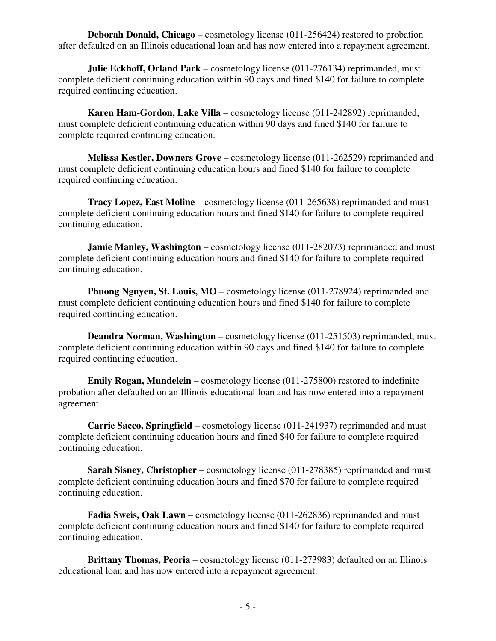**Deborah Donald, Chicago** – cosmetology license (011-256424) restored to probation after defaulted on an Illinois educational loan and has now entered into a repayment agreement.

**Julie Eckhoff, Orland Park** – cosmetology license (011-276134) reprimanded, must complete deficient continuing education within 90 days and fined \$140 for failure to complete required continuing education.

**Karen Ham-Gordon, Lake Villa** – cosmetology license (011-242892) reprimanded, must complete deficient continuing education within 90 days and fined \$140 for failure to complete required continuing education.

**Melissa Kestler, Downers Grove** – cosmetology license (011-262529) reprimanded and must complete deficient continuing education hours and fined \$140 for failure to complete required continuing education.

**Tracy Lopez, East Moline** – cosmetology license (011-265638) reprimanded and must complete deficient continuing education hours and fined \$140 for failure to complete required continuing education.

**Jamie Manley, Washington** – cosmetology license (011-282073) reprimanded and must complete deficient continuing education hours and fined \$140 for failure to complete required continuing education.

**Phuong Nguyen, St. Louis, MO** – cosmetology license (011-278924) reprimanded and must complete deficient continuing education hours and fined \$140 for failure to complete required continuing education.

**Deandra Norman, Washington** – cosmetology license (011-251503) reprimanded, must complete deficient continuing education within 90 days and fined \$140 for failure to complete required continuing education.

**Emily Rogan, Mundelein** – cosmetology license (011-275800) restored to indefinite probation after defaulted on an Illinois educational loan and has now entered into a repayment agreement.

**Carrie Sacco, Springfield** – cosmetology license (011-241937) reprimanded and must complete deficient continuing education hours and fined \$40 for failure to complete required continuing education.

**Sarah Sisney, Christopher** – cosmetology license (011-278385) reprimanded and must complete deficient continuing education hours and fined \$70 for failure to complete required continuing education.

**Fadia Sweis, Oak Lawn** – cosmetology license (011-262836) reprimanded and must complete deficient continuing education hours and fined \$140 for failure to complete required continuing education.

**Brittany Thomas, Peoria** – cosmetology license (011-273983) defaulted on an Illinois educational loan and has now entered into a repayment agreement.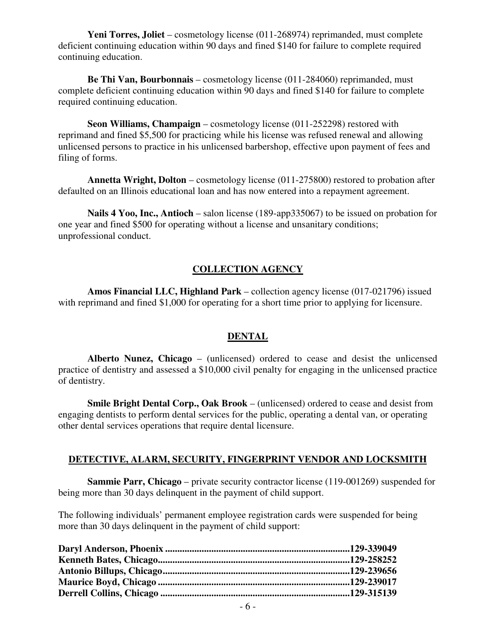**Yeni Torres, Joliet** – cosmetology license (011-268974) reprimanded, must complete deficient continuing education within 90 days and fined \$140 for failure to complete required continuing education.

**Be Thi Van, Bourbonnais** – cosmetology license (011-284060) reprimanded, must complete deficient continuing education within 90 days and fined \$140 for failure to complete required continuing education.

**Seon Williams, Champaign** – cosmetology license (011-252298) restored with reprimand and fined \$5,500 for practicing while his license was refused renewal and allowing unlicensed persons to practice in his unlicensed barbershop, effective upon payment of fees and filing of forms.

**Annetta Wright, Dolton** – cosmetology license (011-275800) restored to probation after defaulted on an Illinois educational loan and has now entered into a repayment agreement.

**Nails 4 Yoo, Inc., Antioch** – salon license (189-app335067) to be issued on probation for one year and fined \$500 for operating without a license and unsanitary conditions; unprofessional conduct.

## **COLLECTION AGENCY**

**Amos Financial LLC, Highland Park** – collection agency license (017-021796) issued with reprimand and fined \$1,000 for operating for a short time prior to applying for licensure.

#### **DENTAL**

**Alberto Nunez, Chicago** – (unlicensed) ordered to cease and desist the unlicensed practice of dentistry and assessed a \$10,000 civil penalty for engaging in the unlicensed practice of dentistry.

**Smile Bright Dental Corp., Oak Brook** – (unlicensed) ordered to cease and desist from engaging dentists to perform dental services for the public, operating a dental van, or operating other dental services operations that require dental licensure.

#### **DETECTIVE, ALARM, SECURITY, FINGERPRINT VENDOR AND LOCKSMITH**

**Sammie Parr, Chicago** – private security contractor license (119-001269) suspended for being more than 30 days delinquent in the payment of child support.

The following individuals' permanent employee registration cards were suspended for being more than 30 days delinquent in the payment of child support: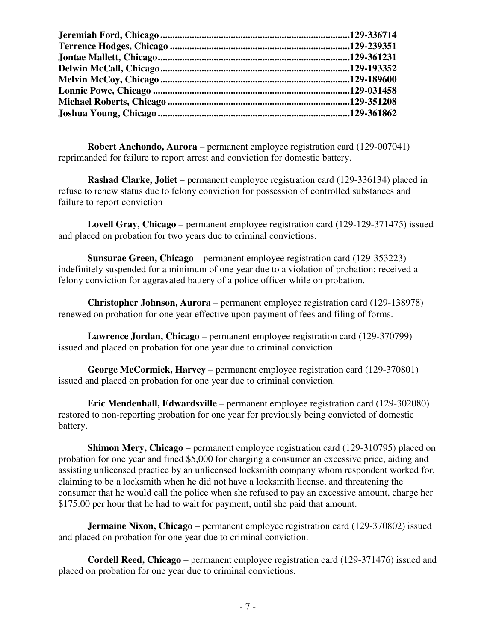**Robert Anchondo, Aurora** – permanent employee registration card (129-007041) reprimanded for failure to report arrest and conviction for domestic battery.

**Rashad Clarke, Joliet** – permanent employee registration card (129-336134) placed in refuse to renew status due to felony conviction for possession of controlled substances and failure to report conviction

**Lovell Gray, Chicago** – permanent employee registration card (129-129-371475) issued and placed on probation for two years due to criminal convictions.

**Sunsurae Green, Chicago** – permanent employee registration card (129-353223) indefinitely suspended for a minimum of one year due to a violation of probation; received a felony conviction for aggravated battery of a police officer while on probation.

**Christopher Johnson, Aurora** – permanent employee registration card (129-138978) renewed on probation for one year effective upon payment of fees and filing of forms.

**Lawrence Jordan, Chicago** – permanent employee registration card (129-370799) issued and placed on probation for one year due to criminal conviction.

**George McCormick, Harvey** – permanent employee registration card (129-370801) issued and placed on probation for one year due to criminal conviction.

**Eric Mendenhall, Edwardsville** – permanent employee registration card (129-302080) restored to non-reporting probation for one year for previously being convicted of domestic battery.

**Shimon Mery, Chicago** – permanent employee registration card (129-310795) placed on probation for one year and fined \$5,000 for charging a consumer an excessive price, aiding and assisting unlicensed practice by an unlicensed locksmith company whom respondent worked for, claiming to be a locksmith when he did not have a locksmith license, and threatening the consumer that he would call the police when she refused to pay an excessive amount, charge her \$175.00 per hour that he had to wait for payment, until she paid that amount.

**Jermaine Nixon, Chicago** – permanent employee registration card (129-370802) issued and placed on probation for one year due to criminal conviction.

**Cordell Reed, Chicago** – permanent employee registration card (129-371476) issued and placed on probation for one year due to criminal convictions.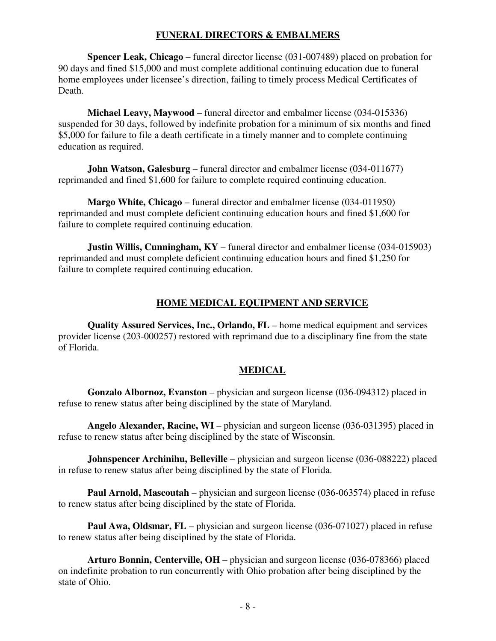#### **FUNERAL DIRECTORS & EMBALMERS**

**Spencer Leak, Chicago** – funeral director license (031-007489) placed on probation for 90 days and fined \$15,000 and must complete additional continuing education due to funeral home employees under licensee's direction, failing to timely process Medical Certificates of Death.

**Michael Leavy, Maywood** – funeral director and embalmer license (034-015336) suspended for 30 days, followed by indefinite probation for a minimum of six months and fined \$5,000 for failure to file a death certificate in a timely manner and to complete continuing education as required.

**John Watson, Galesburg** – funeral director and embalmer license (034-011677) reprimanded and fined \$1,600 for failure to complete required continuing education.

**Margo White, Chicago** – funeral director and embalmer license (034-011950) reprimanded and must complete deficient continuing education hours and fined \$1,600 for failure to complete required continuing education.

**Justin Willis, Cunningham, KY** – funeral director and embalmer license (034-015903) reprimanded and must complete deficient continuing education hours and fined \$1,250 for failure to complete required continuing education.

## **HOME MEDICAL EQUIPMENT AND SERVICE**

**Quality Assured Services, Inc., Orlando, FL** – home medical equipment and services provider license (203-000257) restored with reprimand due to a disciplinary fine from the state of Florida.

## **MEDICAL**

**Gonzalo Albornoz, Evanston** – physician and surgeon license (036-094312) placed in refuse to renew status after being disciplined by the state of Maryland.

**Angelo Alexander, Racine, WI** – physician and surgeon license (036-031395) placed in refuse to renew status after being disciplined by the state of Wisconsin.

**Johnspencer Archinihu, Belleville** – physician and surgeon license (036-088222) placed in refuse to renew status after being disciplined by the state of Florida.

**Paul Arnold, Mascoutah** – physician and surgeon license (036-063574) placed in refuse to renew status after being disciplined by the state of Florida.

**Paul Awa, Oldsmar, FL** – physician and surgeon license (036-071027) placed in refuse to renew status after being disciplined by the state of Florida.

**Arturo Bonnin, Centerville, OH** – physician and surgeon license (036-078366) placed on indefinite probation to run concurrently with Ohio probation after being disciplined by the state of Ohio.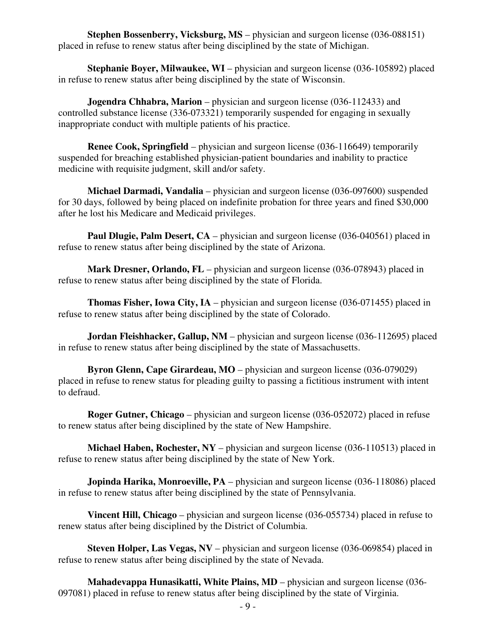**Stephen Bossenberry, Vicksburg, MS** – physician and surgeon license (036-088151) placed in refuse to renew status after being disciplined by the state of Michigan.

**Stephanie Boyer, Milwaukee, WI** – physician and surgeon license (036-105892) placed in refuse to renew status after being disciplined by the state of Wisconsin.

**Jogendra Chhabra, Marion** – physician and surgeon license (036-112433) and controlled substance license (336-073321) temporarily suspended for engaging in sexually inappropriate conduct with multiple patients of his practice.

**Renee Cook, Springfield** – physician and surgeon license (036-116649) temporarily suspended for breaching established physician-patient boundaries and inability to practice medicine with requisite judgment, skill and/or safety.

**Michael Darmadi, Vandalia** – physician and surgeon license (036-097600) suspended for 30 days, followed by being placed on indefinite probation for three years and fined \$30,000 after he lost his Medicare and Medicaid privileges.

**Paul Dlugie, Palm Desert, CA** – physician and surgeon license (036-040561) placed in refuse to renew status after being disciplined by the state of Arizona.

**Mark Dresner, Orlando, FL** – physician and surgeon license (036-078943) placed in refuse to renew status after being disciplined by the state of Florida.

**Thomas Fisher, Iowa City, IA** – physician and surgeon license (036-071455) placed in refuse to renew status after being disciplined by the state of Colorado.

**Jordan Fleishhacker, Gallup, NM** – physician and surgeon license (036-112695) placed in refuse to renew status after being disciplined by the state of Massachusetts.

**Byron Glenn, Cape Girardeau, MO** – physician and surgeon license (036-079029) placed in refuse to renew status for pleading guilty to passing a fictitious instrument with intent to defraud.

**Roger Gutner, Chicago** – physician and surgeon license (036-052072) placed in refuse to renew status after being disciplined by the state of New Hampshire.

**Michael Haben, Rochester, NY** – physician and surgeon license (036-110513) placed in refuse to renew status after being disciplined by the state of New York.

**Jopinda Harika, Monroeville, PA** – physician and surgeon license (036-118086) placed in refuse to renew status after being disciplined by the state of Pennsylvania.

**Vincent Hill, Chicago** – physician and surgeon license (036-055734) placed in refuse to renew status after being disciplined by the District of Columbia.

**Steven Holper, Las Vegas, NV** – physician and surgeon license (036-069854) placed in refuse to renew status after being disciplined by the state of Nevada.

**Mahadevappa Hunasikatti, White Plains, MD** – physician and surgeon license (036- 097081) placed in refuse to renew status after being disciplined by the state of Virginia.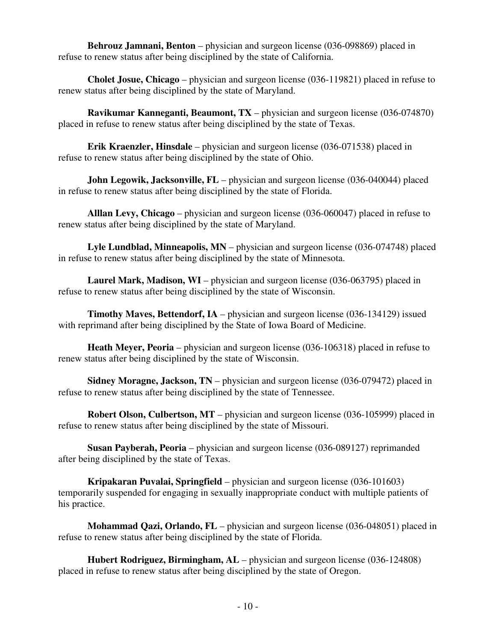**Behrouz Jamnani, Benton** – physician and surgeon license (036-098869) placed in refuse to renew status after being disciplined by the state of California.

**Cholet Josue, Chicago** – physician and surgeon license (036-119821) placed in refuse to renew status after being disciplined by the state of Maryland.

**Ravikumar Kanneganti, Beaumont, TX** – physician and surgeon license (036-074870) placed in refuse to renew status after being disciplined by the state of Texas.

**Erik Kraenzler, Hinsdale** – physician and surgeon license (036-071538) placed in refuse to renew status after being disciplined by the state of Ohio.

**John Legowik, Jacksonville, FL** – physician and surgeon license (036-040044) placed in refuse to renew status after being disciplined by the state of Florida.

**Alllan Levy, Chicago** – physician and surgeon license (036-060047) placed in refuse to renew status after being disciplined by the state of Maryland.

**Lyle Lundblad, Minneapolis, MN** – physician and surgeon license (036-074748) placed in refuse to renew status after being disciplined by the state of Minnesota.

**Laurel Mark, Madison, WI** – physician and surgeon license (036-063795) placed in refuse to renew status after being disciplined by the state of Wisconsin.

**Timothy Maves, Bettendorf, IA** – physician and surgeon license (036-134129) issued with reprimand after being disciplined by the State of Iowa Board of Medicine.

**Heath Meyer, Peoria** – physician and surgeon license (036-106318) placed in refuse to renew status after being disciplined by the state of Wisconsin.

**Sidney Moragne, Jackson, TN** – physician and surgeon license (036-079472) placed in refuse to renew status after being disciplined by the state of Tennessee.

**Robert Olson, Culbertson, MT** – physician and surgeon license (036-105999) placed in refuse to renew status after being disciplined by the state of Missouri.

**Susan Payberah, Peoria** – physician and surgeon license (036-089127) reprimanded after being disciplined by the state of Texas.

**Kripakaran Puvalai, Springfield** – physician and surgeon license (036-101603) temporarily suspended for engaging in sexually inappropriate conduct with multiple patients of his practice.

**Mohammad Qazi, Orlando, FL** – physician and surgeon license (036-048051) placed in refuse to renew status after being disciplined by the state of Florida.

**Hubert Rodriguez, Birmingham, AL** – physician and surgeon license (036-124808) placed in refuse to renew status after being disciplined by the state of Oregon.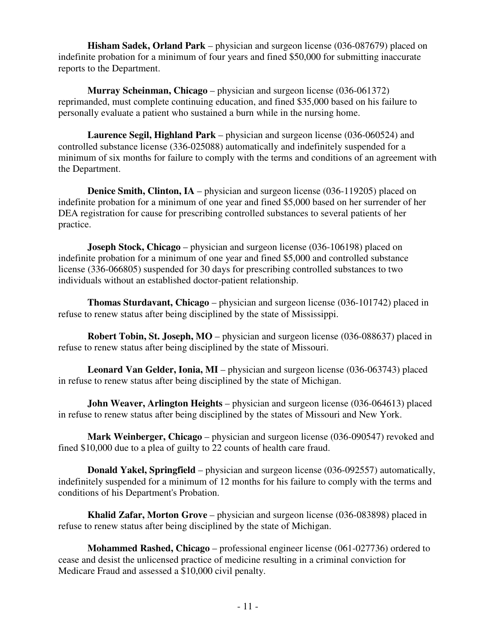**Hisham Sadek, Orland Park** – physician and surgeon license (036-087679) placed on indefinite probation for a minimum of four years and fined \$50,000 for submitting inaccurate reports to the Department.

**Murray Scheinman, Chicago** – physician and surgeon license (036-061372) reprimanded, must complete continuing education, and fined \$35,000 based on his failure to personally evaluate a patient who sustained a burn while in the nursing home.

**Laurence Segil, Highland Park** – physician and surgeon license (036-060524) and controlled substance license (336-025088) automatically and indefinitely suspended for a minimum of six months for failure to comply with the terms and conditions of an agreement with the Department.

**Denice Smith, Clinton, IA** – physician and surgeon license (036-119205) placed on indefinite probation for a minimum of one year and fined \$5,000 based on her surrender of her DEA registration for cause for prescribing controlled substances to several patients of her practice.

**Joseph Stock, Chicago** – physician and surgeon license (036-106198) placed on indefinite probation for a minimum of one year and fined \$5,000 and controlled substance license (336-066805) suspended for 30 days for prescribing controlled substances to two individuals without an established doctor-patient relationship.

**Thomas Sturdavant, Chicago** – physician and surgeon license (036-101742) placed in refuse to renew status after being disciplined by the state of Mississippi.

**Robert Tobin, St. Joseph, MO** – physician and surgeon license (036-088637) placed in refuse to renew status after being disciplined by the state of Missouri.

**Leonard Van Gelder, Ionia, MI** – physician and surgeon license (036-063743) placed in refuse to renew status after being disciplined by the state of Michigan.

**John Weaver, Arlington Heights** – physician and surgeon license (036-064613) placed in refuse to renew status after being disciplined by the states of Missouri and New York.

**Mark Weinberger, Chicago** – physician and surgeon license (036-090547) revoked and fined \$10,000 due to a plea of guilty to 22 counts of health care fraud.

**Donald Yakel, Springfield** – physician and surgeon license (036-092557) automatically, indefinitely suspended for a minimum of 12 months for his failure to comply with the terms and conditions of his Department's Probation.

**Khalid Zafar, Morton Grove** – physician and surgeon license (036-083898) placed in refuse to renew status after being disciplined by the state of Michigan.

**Mohammed Rashed, Chicago** – professional engineer license (061-027736) ordered to cease and desist the unlicensed practice of medicine resulting in a criminal conviction for Medicare Fraud and assessed a \$10,000 civil penalty.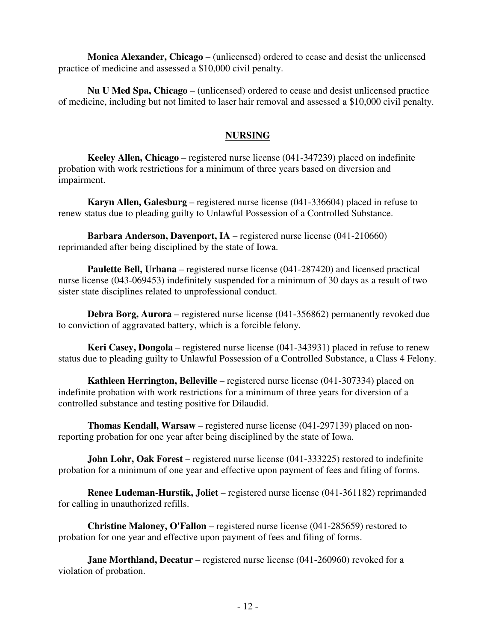**Monica Alexander, Chicago** – (unlicensed) ordered to cease and desist the unlicensed practice of medicine and assessed a \$10,000 civil penalty.

**Nu U Med Spa, Chicago** – (unlicensed) ordered to cease and desist unlicensed practice of medicine, including but not limited to laser hair removal and assessed a \$10,000 civil penalty.

## **NURSING**

**Keeley Allen, Chicago** – registered nurse license (041-347239) placed on indefinite probation with work restrictions for a minimum of three years based on diversion and impairment.

**Karyn Allen, Galesburg** – registered nurse license (041-336604) placed in refuse to renew status due to pleading guilty to Unlawful Possession of a Controlled Substance.

**Barbara Anderson, Davenport, IA** – registered nurse license (041-210660) reprimanded after being disciplined by the state of Iowa.

**Paulette Bell, Urbana** – registered nurse license (041-287420) and licensed practical nurse license (043-069453) indefinitely suspended for a minimum of 30 days as a result of two sister state disciplines related to unprofessional conduct.

**Debra Borg, Aurora** – registered nurse license (041-356862) permanently revoked due to conviction of aggravated battery, which is a forcible felony.

**Keri Casey, Dongola** – registered nurse license (041-343931) placed in refuse to renew status due to pleading guilty to Unlawful Possession of a Controlled Substance, a Class 4 Felony.

**Kathleen Herrington, Belleville** – registered nurse license (041-307334) placed on indefinite probation with work restrictions for a minimum of three years for diversion of a controlled substance and testing positive for Dilaudid.

**Thomas Kendall, Warsaw** – registered nurse license (041-297139) placed on nonreporting probation for one year after being disciplined by the state of Iowa.

**John Lohr, Oak Forest** – registered nurse license (041-333225) restored to indefinite probation for a minimum of one year and effective upon payment of fees and filing of forms.

**Renee Ludeman-Hurstik, Joliet** – registered nurse license (041-361182) reprimanded for calling in unauthorized refills.

**Christine Maloney, O'Fallon** – registered nurse license (041-285659) restored to probation for one year and effective upon payment of fees and filing of forms.

**Jane Morthland, Decatur** – registered nurse license (041-260960) revoked for a violation of probation.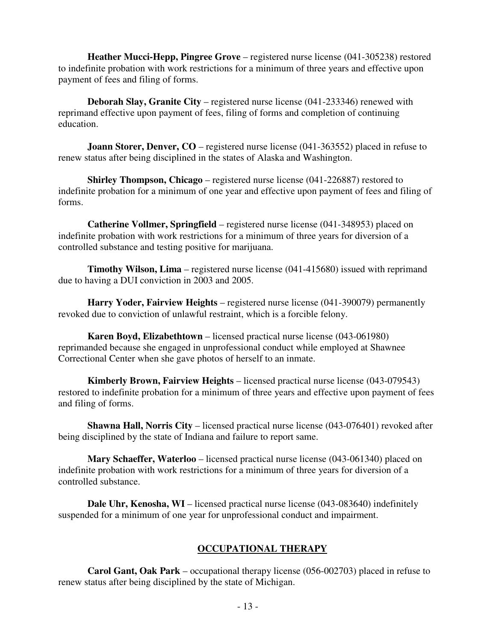**Heather Mucci-Hepp, Pingree Grove** – registered nurse license (041-305238) restored to indefinite probation with work restrictions for a minimum of three years and effective upon payment of fees and filing of forms.

**Deborah Slay, Granite City** – registered nurse license (041-233346) renewed with reprimand effective upon payment of fees, filing of forms and completion of continuing education.

**Joann Storer, Denver, CO** – registered nurse license (041-363552) placed in refuse to renew status after being disciplined in the states of Alaska and Washington.

**Shirley Thompson, Chicago** – registered nurse license (041-226887) restored to indefinite probation for a minimum of one year and effective upon payment of fees and filing of forms.

**Catherine Vollmer, Springfield** – registered nurse license (041-348953) placed on indefinite probation with work restrictions for a minimum of three years for diversion of a controlled substance and testing positive for marijuana.

**Timothy Wilson, Lima** – registered nurse license (041-415680) issued with reprimand due to having a DUI conviction in 2003 and 2005.

**Harry Yoder, Fairview Heights** – registered nurse license (041-390079) permanently revoked due to conviction of unlawful restraint, which is a forcible felony.

**Karen Boyd, Elizabethtown** – licensed practical nurse license (043-061980) reprimanded because she engaged in unprofessional conduct while employed at Shawnee Correctional Center when she gave photos of herself to an inmate.

**Kimberly Brown, Fairview Heights** – licensed practical nurse license (043-079543) restored to indefinite probation for a minimum of three years and effective upon payment of fees and filing of forms.

**Shawna Hall, Norris City** – licensed practical nurse license (043-076401) revoked after being disciplined by the state of Indiana and failure to report same.

**Mary Schaeffer, Waterloo** – licensed practical nurse license (043-061340) placed on indefinite probation with work restrictions for a minimum of three years for diversion of a controlled substance.

**Dale Uhr, Kenosha, WI** – licensed practical nurse license (043-083640) indefinitely suspended for a minimum of one year for unprofessional conduct and impairment.

#### **OCCUPATIONAL THERAPY**

**Carol Gant, Oak Park** – occupational therapy license (056-002703) placed in refuse to renew status after being disciplined by the state of Michigan.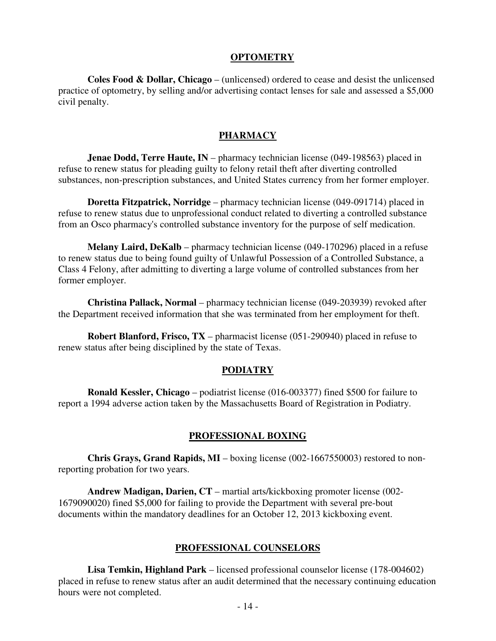#### **OPTOMETRY**

**Coles Food & Dollar, Chicago** – (unlicensed) ordered to cease and desist the unlicensed practice of optometry, by selling and/or advertising contact lenses for sale and assessed a \$5,000 civil penalty.

#### **PHARMACY**

**Jenae Dodd, Terre Haute, IN** – pharmacy technician license (049-198563) placed in refuse to renew status for pleading guilty to felony retail theft after diverting controlled substances, non-prescription substances, and United States currency from her former employer.

**Doretta Fitzpatrick, Norridge** – pharmacy technician license (049-091714) placed in refuse to renew status due to unprofessional conduct related to diverting a controlled substance from an Osco pharmacy's controlled substance inventory for the purpose of self medication.

**Melany Laird, DeKalb** – pharmacy technician license (049-170296) placed in a refuse to renew status due to being found guilty of Unlawful Possession of a Controlled Substance, a Class 4 Felony, after admitting to diverting a large volume of controlled substances from her former employer.

**Christina Pallack, Normal** – pharmacy technician license (049-203939) revoked after the Department received information that she was terminated from her employment for theft.

**Robert Blanford, Frisco, TX** – pharmacist license (051-290940) placed in refuse to renew status after being disciplined by the state of Texas.

#### **PODIATRY**

**Ronald Kessler, Chicago** – podiatrist license (016-003377) fined \$500 for failure to report a 1994 adverse action taken by the Massachusetts Board of Registration in Podiatry.

#### **PROFESSIONAL BOXING**

**Chris Grays, Grand Rapids, MI** – boxing license (002-1667550003) restored to nonreporting probation for two years.

**Andrew Madigan, Darien, CT** – martial arts/kickboxing promoter license (002- 1679090020) fined \$5,000 for failing to provide the Department with several pre-bout documents within the mandatory deadlines for an October 12, 2013 kickboxing event.

#### **PROFESSIONAL COUNSELORS**

**Lisa Temkin, Highland Park** – licensed professional counselor license (178-004602) placed in refuse to renew status after an audit determined that the necessary continuing education hours were not completed.

- 14 -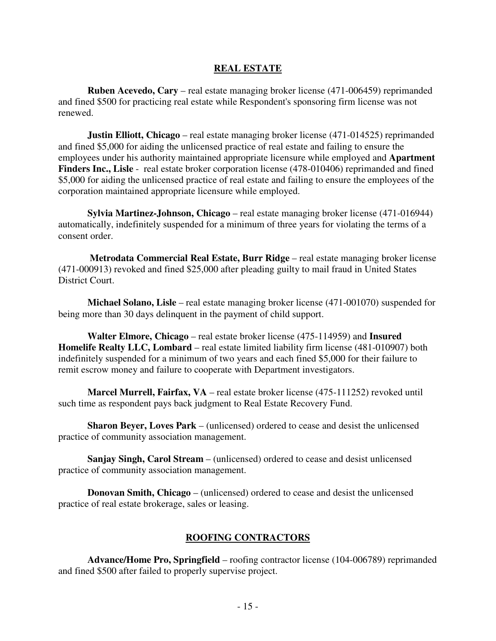#### **REAL ESTATE**

**Ruben Acevedo, Cary** – real estate managing broker license (471-006459) reprimanded and fined \$500 for practicing real estate while Respondent's sponsoring firm license was not renewed.

**Justin Elliott, Chicago** – real estate managing broker license (471-014525) reprimanded and fined \$5,000 for aiding the unlicensed practice of real estate and failing to ensure the employees under his authority maintained appropriate licensure while employed and **Apartment Finders Inc., Lisle** - real estate broker corporation license (478-010406) reprimanded and fined \$5,000 for aiding the unlicensed practice of real estate and failing to ensure the employees of the corporation maintained appropriate licensure while employed.

**Sylvia Martinez-Johnson, Chicago** – real estate managing broker license (471-016944) automatically, indefinitely suspended for a minimum of three years for violating the terms of a consent order.

**Metrodata Commercial Real Estate, Burr Ridge** – real estate managing broker license (471-000913) revoked and fined \$25,000 after pleading guilty to mail fraud in United States District Court.

**Michael Solano, Lisle** – real estate managing broker license (471-001070) suspended for being more than 30 days delinquent in the payment of child support.

**Walter Elmore, Chicago** – real estate broker license (475-114959) and **Insured Homelife Realty LLC, Lombard** – real estate limited liability firm license (481-010907) both indefinitely suspended for a minimum of two years and each fined \$5,000 for their failure to remit escrow money and failure to cooperate with Department investigators.

**Marcel Murrell, Fairfax, VA** – real estate broker license (475-111252) revoked until such time as respondent pays back judgment to Real Estate Recovery Fund.

**Sharon Beyer, Loves Park** – (unlicensed) ordered to cease and desist the unlicensed practice of community association management.

**Sanjay Singh, Carol Stream** – (unlicensed) ordered to cease and desist unlicensed practice of community association management.

**Donovan Smith, Chicago** – (unlicensed) ordered to cease and desist the unlicensed practice of real estate brokerage, sales or leasing.

#### **ROOFING CONTRACTORS**

**Advance/Home Pro, Springfield** – roofing contractor license (104-006789) reprimanded and fined \$500 after failed to properly supervise project.